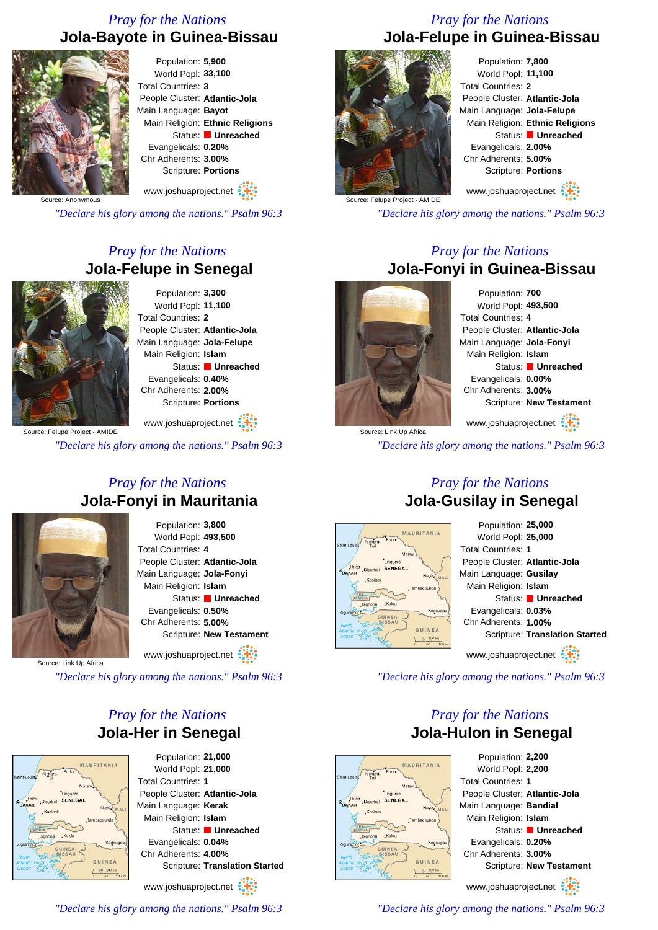## *Pray for the Nations* **Jola-Bayote in Guinea-Bissau**



Population: **5,900** World Popl: **33,100** Total Countries: **3** People Cluster: **Atlantic-Jola** Main Language: **Bayot** Main Religion: **Ethnic Religions** Status: **Unreached** Evangelicals: **0.20%** Chr Adherents: **3.00%** Scripture: **Portions**

www.joshuaproject.net

Source: Anonymous

*"Declare his glory among the nations." Psalm 96:3*

## *Pray for the Nations* **Jola-Felupe in Senegal**



Population: **3,300** World Popl: **11,100** Total Countries: **2** People Cluster: **Atlantic-Jola** Main Language: **Jola-Felupe** Main Religion: **Islam** Status: **Unreached** Evangelicals: **0.40%** Chr Adherents: **2.00%** Scripture: **Portions**

Source: Felupe Project - AMIDE www.joshuaproject.net

*"Declare his glory among the nations." Psalm 96:3*

## *Pray for the Nations* **Jola-Fonyi in Mauritania**



Population: **3,800** World Popl: **493,500** Total Countries: **4** People Cluster: **Atlantic-Jola** Main Language: **Jola-Fonyi** Main Religion: **Islam** Status: **Unreached** Evangelicals: **0.50%** Chr Adherents: **5.00%** Scripture: **New Testament**

www.joshuaproject.net :

Source: Link Up Africa

*"Declare his glory among the nations." Psalm 96:3*

## *Pray for the Nations* **Jola-Her in Senegal**



Population: **21,000** World Popl: **21,000** Total Countries: **1** People Cluster: **Atlantic-Jola** Main Language: **Kerak** Main Religion: **Islam** Status: **Unreached** Evangelicals: **0.04%** Chr Adherents: **4.00%** Scripture: **Translation Started** www.joshuaproject.net

*"Declare his glory among the nations." Psalm 96:3*

**Jola-Felupe in Guinea-Bissau**

*Pray for the Nations*



Population: **7,800** World Popl: **11,100** Total Countries: **2** People Cluster: **Atlantic-Jola** Main Language: **Jola-Felupe** Main Religion: **Ethnic Religions** Status: **Unreached** Evangelicals: **2.00%** Chr Adherents: **5.00%** Scripture: **Portions** www.joshuaproject.net

Source: Felupe Project - AMIDE

*"Declare his glory among the nations." Psalm 96:3*

## *Pray for the Nations* **Jola-Fonyi in Guinea-Bissau**



Population: **700** World Popl: **493,500** Total Countries: **4** People Cluster: **Atlantic-Jola** Main Language: **Jola-Fonyi** Main Religion: **Islam** Status: **Unreached** Evangelicals: **0.00%** Chr Adherents: **3.00%** Scripture: **New Testament** www.joshuaproject.net

Source: Link Up Africa *"Declare his glory among the nations." Psalm 96:3*

## **Jola-Gusilay in Senegal**



Population: **25,000** World Popl: **25,000** Total Countries: **1** People Cluster: **Atlantic-Jola** Main Language: **Gusilay** Main Religion: **Islam** Status: **Unreached** Evangelicals: **0.03%** Chr Adherents: **1.00%** Scripture: **Translation Started** www.joshuaproject.net

*"Declare his glory among the nations." Psalm 96:3*

## *Pray for the Nations* **Jola-Hulon in Senegal**



Population: **2,200** World Popl: **2,200** Total Countries: **1** People Cluster: **Atlantic-Jola** Main Language: **Bandial** Main Religion: **Islam** Status: **Unreached** Evangelicals: **0.20%** Chr Adherents: **3.00%** Scripture: **New Testament** www.joshuaproject.net

*"Declare his glory among the nations." Psalm 96:3*

# *Pray for the Nations*